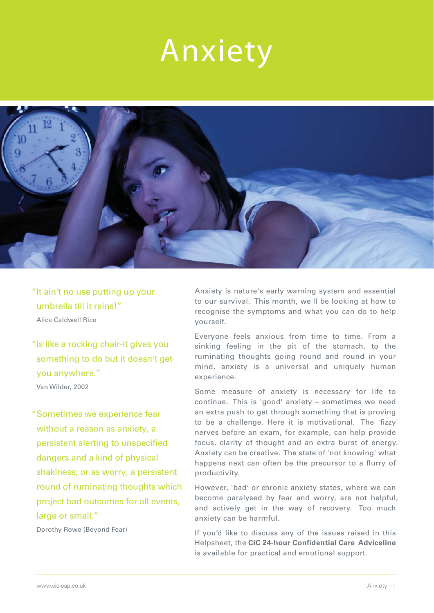# Anxiety



"It ain't no use putting up your umbrella till it rains!" Alice Caldwell Rice

"is like a rocking chair-it gives you something to do but it doesn't get you anywhere." Van Wilder, 2002

"Sometimes we experience fear without a reason as anxiety, a persistent alerting to unspecified dangers and a kind of physical shakiness; or as worry, a persistent round of ruminating thoughts which project bad outcomes for all events, large or small."

Dorothy Rowe (Beyond Fear)

Anxiety is nature's early warning system and essential to our survival. This month, we'll be looking at how to recognise the symptoms and what you can do to help yourself.

Everyone feels anxious from time to time. From a sinking feeling in the pit of the stomach, to the ruminating thoughts going round and round in your mind, anxiety is a universal and uniquely human experience.

Some measure of anxiety is necessary for life to continue. This is 'good' anxiety – sometimes we need an extra push to get through something that is proving to be a challenge. Here it is motivational. The 'fizzy' nerves before an exam, for example, can help provide focus, clarity of thought and an extra burst of energy. Anxiety can be creative. The state of 'not knowing' what happens next can often be the precursor to a flurry of productivity.

However, 'bad' or chronic anxiety states, where we can become paralysed by fear and worry, are not helpful, and actively get in the way of recovery. Too much anxiety can be harmful.

If you'd like to discuss any of the issues raised in this Helpsheet, the **CiC 24-hour Confidential Care Adviceline** is available for practical and emotional support.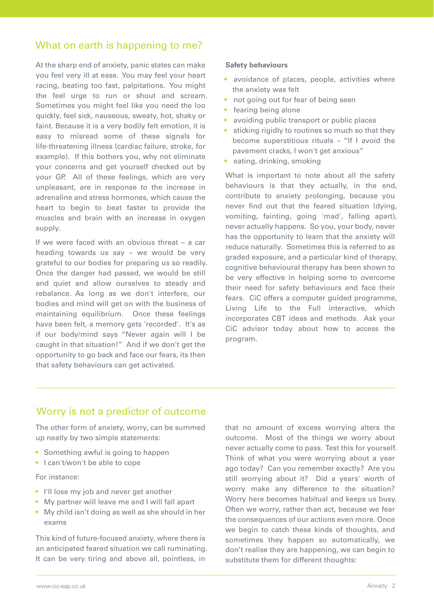# What on earth is happening to me?

At the sharp end of anxiety, panic states can make you feel very ill at ease. You may feel your heart racing, beating too fast, palpitations. You might the feel urge to run or shout and scream. Sometimes you might feel like you need the loo quickly, feel sick, nauseous, sweaty, hot, shaky or faint. Because it is a very bodily felt emotion, it is easy to misread some of these signals for life-threatening illness (cardiac failure, stroke, for example). If this bothers you, why not eliminate your concerns and get yourself checked out by your GP. All of these feelings, which are very unpleasant, are in response to the increase in adrenaline and stress hormones, which cause the heart to begin to beat faster to provide the muscles and brain with an increase in oxygen supply.

If we were faced with an obvious threat – a car heading towards us say – we would be very grateful to our bodies for preparing us so readily. Once the danger had passed, we would be still and quiet and allow ourselves to steady and rebalance. As long as we don't interfere, our bodies and mind will get on with the business of maintaining equilibrium. Once these feelings have been felt, a memory gets 'recorded'. It's as if our body/mind says "Never again will I be caught in that situation!" And if we don't get the opportunity to go back and face our fears, its then that safety behaviours can get activated.

#### **Safety behaviours**

- avoidance of places, people, activities where the anxiety was felt
- not going out for fear of being seen
- fearing being alone
- avoiding public transport or public places
- sticking rigidly to routines so much so that they become superstitious rituals – "If I avoid the pavement cracks, I won't get anxious"
- eating, drinking, smoking

What is important to note about all the safety behaviours is that they actually, in the end, contribute to anxiety prolonging, because you never find out that the feared situation (dying, vomiting, fainting, going 'mad', falling apart), never actually happens. So you, your body, never has the opportunity to learn that the anxiety will reduce naturally. Sometimes this is referred to as graded exposure, and a particular kind of therapy, cognitive behavioural therapy has been shown to be very effective in helping some to overcome their need for safety behaviours and face their fears. CiC offers a computer guided programme, Living Life to the Full interactive, which incorporates CBT ideas and methods. Ask your CiC advisor today about how to access the program.

# Worry is not a predictor of outcome

The other form of anxiety, worry, can be summed up neatly by two simple statements:

- Something awful is going to happen
- I can't/won't be able to cope

For instance:

- I'll lose my job and never get another
- My partner will leave me and I will fall apart
- My child isn't doing as well as she should in her exams

This kind of future-focused anxiety, where there is an anticipated feared situation we call ruminating. It can be very tiring and above all, pointless, in

that no amount of excess worrying alters the outcome. Most of the things we worry about never actually come to pass. Test this for yourself. Think of what you were worrying about a year ago today? Can you remember exactly? Are you still worrying about it? Did a years' worth of worry make any difference to the situation? Worry here becomes habitual and keeps us busy. Often we worry, rather than act, because we fear the consequences of our actions even more. Once we begin to catch these kinds of thoughts, and sometimes they happen so automatically, we don't realise they are happening, we can begin to substitute them for different thoughts: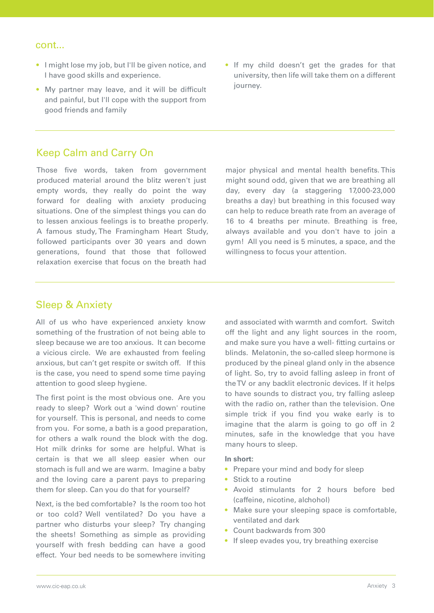#### cont...

- I might lose my job, but I'll be given notice, and I have good skills and experience.
- My partner may leave, and it will be difficult and painful, but I'll cope with the support from good friends and family
- If my child doesn't get the grades for that university, then life will take them on a different journey.

# Keep Calm and Carry On

Those five words, taken from government produced material around the blitz weren't just empty words, they really do point the way forward for dealing with anxiety producing situations. One of the simplest things you can do to lessen anxious feelings is to breathe properly. A famous study, The Framingham Heart Study, followed participants over 30 years and down generations, found that those that followed relaxation exercise that focus on the breath had

major physical and mental health benefits. This might sound odd, given that we are breathing all day, every day (a staggering 17,000-23,000 breaths a day) but breathing in this focused way can help to reduce breath rate from an average of 16 to 4 breaths per minute. Breathing is free, always available and you don't have to join a gym! All you need is 5 minutes, a space, and the willingness to focus your attention.

#### Sleep & Anxiety

All of us who have experienced anxiety know something of the frustration of not being able to sleep because we are too anxious. It can become a vicious circle. We are exhausted from feeling anxious, but can't get respite or switch off. If this is the case, you need to spend some time paying attention to good sleep hygiene.

The first point is the most obvious one. Are you ready to sleep? Work out a 'wind down' routine for yourself. This is personal, and needs to come from you. For some, a bath is a good preparation, for others a walk round the block with the dog. Hot milk drinks for some are helpful. What is certain is that we all sleep easier when our stomach is full and we are warm. Imagine a baby and the loving care a parent pays to preparing them for sleep. Can you do that for yourself?

Next, is the bed comfortable? Is the room too hot or too cold? Well ventilated? Do you have a partner who disturbs your sleep? Try changing the sheets! Something as simple as providing yourself with fresh bedding can have a good effect. Your bed needs to be somewhere inviting

and associated with warmth and comfort. Switch off the light and any light sources in the room, and make sure you have a well- fitting curtains or blinds. Melatonin, the so-called sleep hormone is produced by the pineal gland only in the absence of light. So, try to avoid falling asleep in front of the TV or any backlit electronic devices. If it helps to have sounds to distract you, try falling asleep with the radio on, rather than the television. One simple trick if you find you wake early is to imagine that the alarm is going to go off in 2 minutes, safe in the knowledge that you have many hours to sleep.

#### **In short:**

- Prepare your mind and body for sleep
- Stick to a routine
- Avoid stimulants for 2 hours before bed (caffeine, nicotine, alchohol)
- Make sure your sleeping space is comfortable, ventilated and dark
- Count backwards from 300
- If sleep evades you, try breathing exercise